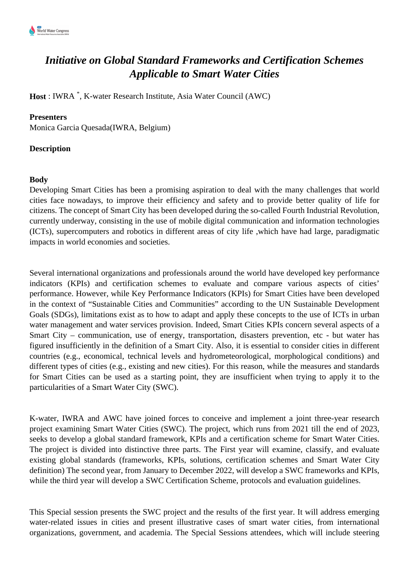

## *Initiative on Global Standard Frameworks and Certification Schemes Applicable to Smart Water Cities*

**Host** : IWRA \* , K-water Research Institute, Asia Water Council (AWC)

## **Presenters**

Monica Garcia Quesada(IWRA, Belgium)

## **Description**

## **Body**

Developing Smart Cities has been a promising aspiration to deal with the many challenges that world cities face nowadays, to improve their efficiency and safety and to provide better quality of life for citizens. The concept of Smart City has been developed during the so-called Fourth Industrial Revolution, currently underway, consisting in the use of mobile digital communication and information technologies (ICTs), supercomputers and robotics in different areas of city life ,which have had large, paradigmatic impacts in world economies and societies.

Several international organizations and professionals around the world have developed key performance indicators (KPIs) and certification schemes to evaluate and compare various aspects of cities' performance. However, while Key Performance Indicators (KPIs) for Smart Cities have been developed in the context of "Sustainable Cities and Communities" according to the UN Sustainable Development Goals (SDGs), limitations exist as to how to adapt and apply these concepts to the use of ICTs in urban water management and water services provision. Indeed, Smart Cities KPIs concern several aspects of a Smart City – communication, use of energy, transportation, disasters prevention, etc - but water has figured insufficiently in the definition of a Smart City. Also, it is essential to consider cities in different countries (e.g., economical, technical levels and hydrometeorological, morphological conditions) and different types of cities (e.g., existing and new cities). For this reason, while the measures and standards for Smart Cities can be used as a starting point, they are insufficient when trying to apply it to the particularities of a Smart Water City (SWC).

K-water, IWRA and AWC have joined forces to conceive and implement a joint three-year research project examining Smart Water Cities (SWC). The project, which runs from 2021 till the end of 2023, seeks to develop a global standard framework, KPIs and a certification scheme for Smart Water Cities. The project is divided into distinctive three parts. The First year will examine, classify, and evaluate existing global standards (frameworks, KPIs, solutions, certification schemes and Smart Water City definition) The second year, from January to December 2022, will develop a SWC frameworks and KPIs, while the third year will develop a SWC Certification Scheme, protocols and evaluation guidelines.

This Special session presents the SWC project and the results of the first year. It will address emerging water-related issues in cities and present illustrative cases of smart water cities, from international organizations, government, and academia. The Special Sessions attendees, which will include steering